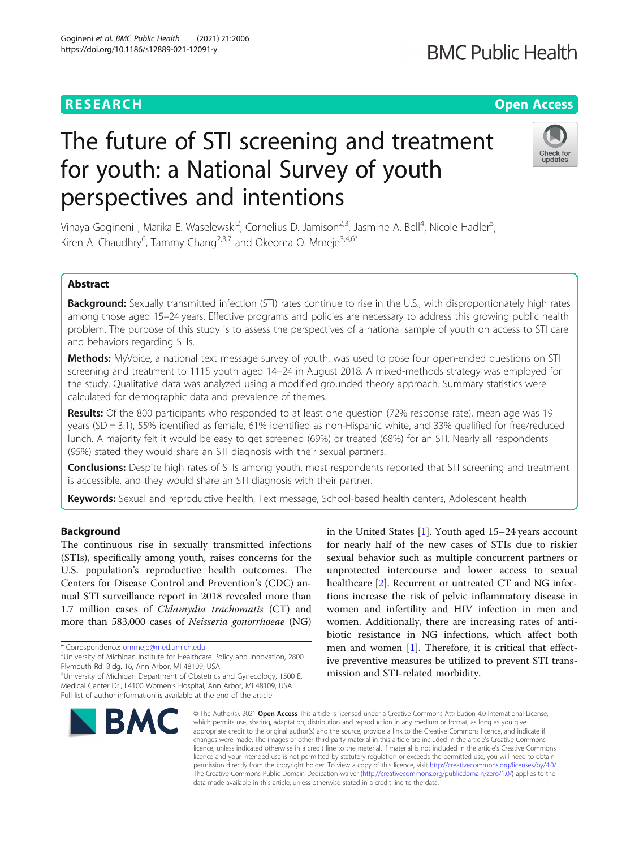## **RESEARCH CHE Open Access**

# The future of STI screening and treatment for youth: a National Survey of youth perspectives and intentions

Vinaya Gogineni<sup>1</sup>, Marika E. Waselewski<sup>2</sup>, Cornelius D. Jamison<sup>2,3</sup>, Jasmine A. Bell<sup>4</sup>, Nicole Hadler<sup>5</sup> , Kiren A. Chaudhry<sup>6</sup>, Tammy Chang<sup>2,3,7</sup> and Okeoma O. Mmeje<sup>3,4,6\*</sup>

## Abstract

Background: Sexually transmitted infection (STI) rates continue to rise in the U.S., with disproportionately high rates among those aged 15–24 years. Effective programs and policies are necessary to address this growing public health problem. The purpose of this study is to assess the perspectives of a national sample of youth on access to STI care and behaviors regarding STIs.

Methods: MyVoice, a national text message survey of youth, was used to pose four open-ended questions on STI screening and treatment to 1115 youth aged 14–24 in August 2018. A mixed-methods strategy was employed for the study. Qualitative data was analyzed using a modified grounded theory approach. Summary statistics were calculated for demographic data and prevalence of themes.

Results: Of the 800 participants who responded to at least one question (72% response rate), mean age was 19 years (SD = 3.1), 55% identified as female, 61% identified as non-Hispanic white, and 33% qualified for free/reduced lunch. A majority felt it would be easy to get screened (69%) or treated (68%) for an STI. Nearly all respondents (95%) stated they would share an STI diagnosis with their sexual partners.

Conclusions: Despite high rates of STIs among youth, most respondents reported that STI screening and treatment is accessible, and they would share an STI diagnosis with their partner.

Keywords: Sexual and reproductive health, Text message, School-based health centers, Adolescent health

## Background

The continuous rise in sexually transmitted infections (STIs), specifically among youth, raises concerns for the U.S. population's reproductive health outcomes. The Centers for Disease Control and Prevention's (CDC) annual STI surveillance report in 2018 revealed more than 1.7 million cases of Chlamydia trachomatis (CT) and more than 583,000 cases of Neisseria gonorrhoeae (NG)

\* Correspondence: [ommeje@med.umich.edu](mailto:ommeje@med.umich.edu) <sup>3</sup>

**BMC** 

<sup>3</sup>University of Michigan Institute for Healthcare Policy and Innovation, 2800 Plymouth Rd. Bldg. 16, Ann Arbor, MI 48109, USA

4 University of Michigan Department of Obstetrics and Gynecology, 1500 E. Medical Center Dr., L4100 Women's Hospital, Ann Arbor, MI 48109, USA Full list of author information is available at the end of the article

> © The Author(s), 2021 **Open Access** This article is licensed under a Creative Commons Attribution 4.0 International License, which permits use, sharing, adaptation, distribution and reproduction in any medium or format, as long as you give appropriate credit to the original author(s) and the source, provide a link to the Creative Commons licence, and indicate if changes were made. The images or other third party material in this article are included in the article's Creative Commons licence, unless indicated otherwise in a credit line to the material. If material is not included in the article's Creative Commons licence and your intended use is not permitted by statutory regulation or exceeds the permitted use, you will need to obtain permission directly from the copyright holder. To view a copy of this licence, visit [http://creativecommons.org/licenses/by/4.0/.](http://creativecommons.org/licenses/by/4.0/) The Creative Commons Public Domain Dedication waiver [\(http://creativecommons.org/publicdomain/zero/1.0/](http://creativecommons.org/publicdomain/zero/1.0/)) applies to the data made available in this article, unless otherwise stated in a credit line to the data.

for nearly half of the new cases of STIs due to riskier sexual behavior such as multiple concurrent partners or unprotected intercourse and lower access to sexual healthcare [[2\]](#page-6-0). Recurrent or untreated CT and NG infections increase the risk of pelvic inflammatory disease in women and infertility and HIV infection in men and women. Additionally, there are increasing rates of antibiotic resistance in NG infections, which affect both men and women [\[1\]](#page-6-0). Therefore, it is critical that effective preventive measures be utilized to prevent STI transmission and STI-related morbidity.

in the United States [\[1](#page-6-0)]. Youth aged 15–24 years account



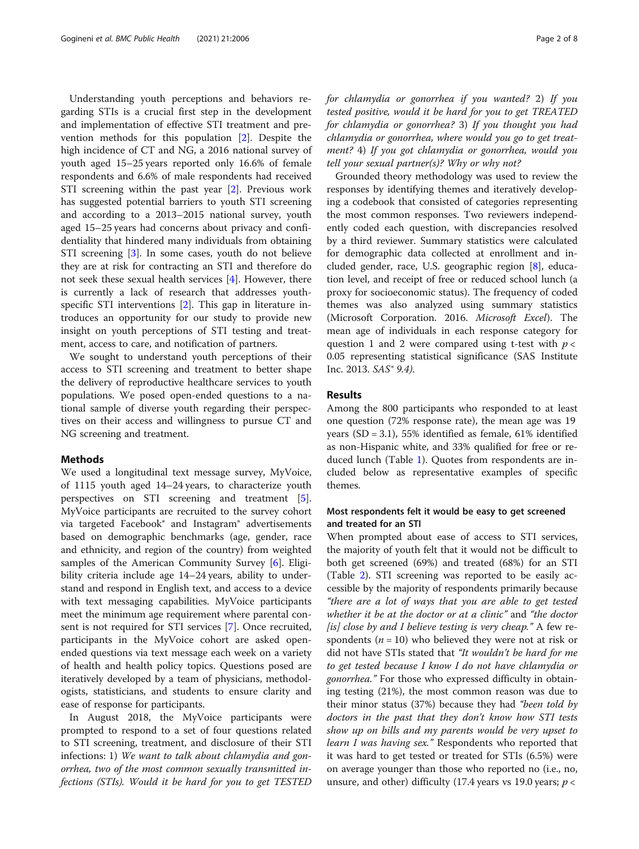Understanding youth perceptions and behaviors regarding STIs is a crucial first step in the development and implementation of effective STI treatment and prevention methods for this population [\[2](#page-6-0)]. Despite the high incidence of CT and NG, a 2016 national survey of youth aged 15–25 years reported only 16.6% of female respondents and 6.6% of male respondents had received STI screening within the past year [\[2\]](#page-6-0). Previous work has suggested potential barriers to youth STI screening and according to a 2013–2015 national survey, youth aged 15–25 years had concerns about privacy and confidentiality that hindered many individuals from obtaining STI screening [[3\]](#page-6-0). In some cases, youth do not believe they are at risk for contracting an STI and therefore do not seek these sexual health services [[4\]](#page-6-0). However, there is currently a lack of research that addresses youthspecific STI interventions [[2\]](#page-6-0). This gap in literature introduces an opportunity for our study to provide new insight on youth perceptions of STI testing and treatment, access to care, and notification of partners.

We sought to understand youth perceptions of their access to STI screening and treatment to better shape the delivery of reproductive healthcare services to youth populations. We posed open-ended questions to a national sample of diverse youth regarding their perspectives on their access and willingness to pursue CT and NG screening and treatment.

#### **Methods**

We used a longitudinal text message survey, MyVoice, of 1115 youth aged 14–24 years, to characterize youth perspectives on STI screening and treatment [\[5](#page-6-0)]. MyVoice participants are recruited to the survey cohort via targeted Facebook® and Instagram® advertisements based on demographic benchmarks (age, gender, race and ethnicity, and region of the country) from weighted samples of the American Community Survey [[6\]](#page-6-0). Eligibility criteria include age 14–24 years, ability to understand and respond in English text, and access to a device with text messaging capabilities. MyVoice participants meet the minimum age requirement where parental consent is not required for STI services [[7\]](#page-6-0). Once recruited, participants in the MyVoice cohort are asked openended questions via text message each week on a variety of health and health policy topics. Questions posed are iteratively developed by a team of physicians, methodologists, statisticians, and students to ensure clarity and ease of response for participants.

In August 2018, the MyVoice participants were prompted to respond to a set of four questions related to STI screening, treatment, and disclosure of their STI infections: 1) We want to talk about chlamydia and gonorrhea, two of the most common sexually transmitted infections (STIs). Would it be hard for you to get TESTED for chlamydia or gonorrhea if you wanted? 2) If you tested positive, would it be hard for you to get TREATED for chlamydia or gonorrhea? 3) If you thought you had chlamydia or gonorrhea, where would you go to get treatment? 4) If you got chlamydia or gonorrhea, would you tell your sexual partner(s)? Why or why not?

Grounded theory methodology was used to review the responses by identifying themes and iteratively developing a codebook that consisted of categories representing the most common responses. Two reviewers independently coded each question, with discrepancies resolved by a third reviewer. Summary statistics were calculated for demographic data collected at enrollment and included gender, race, U.S. geographic region [[8\]](#page-6-0), education level, and receipt of free or reduced school lunch (a proxy for socioeconomic status). The frequency of coded themes was also analyzed using summary statistics (Microsoft Corporation. 2016. Microsoft Excel). The mean age of individuals in each response category for question 1 and 2 were compared using t-test with  $p <$ 0.05 representing statistical significance (SAS Institute Inc. 2013. SAS® 9.4).

#### Results

Among the 800 participants who responded to at least one question (72% response rate), the mean age was 19 years (SD = 3.1), 55% identified as female, 61% identified as non-Hispanic white, and 33% qualified for free or reduced lunch (Table [1](#page-2-0)). Quotes from respondents are included below as representative examples of specific themes.

## Most respondents felt it would be easy to get screened and treated for an STI

When prompted about ease of access to STI services, the majority of youth felt that it would not be difficult to both get screened (69%) and treated (68%) for an STI (Table [2](#page-3-0)). STI screening was reported to be easily accessible by the majority of respondents primarily because "there are a lot of ways that you are able to get tested whether it be at the doctor or at a clinic" and "the doctor [is] close by and I believe testing is very cheap." A few respondents ( $n = 10$ ) who believed they were not at risk or did not have STIs stated that "It wouldn't be hard for me to get tested because I know I do not have chlamydia or gonorrhea." For those who expressed difficulty in obtaining testing (21%), the most common reason was due to their minor status (37%) because they had "been told by doctors in the past that they don't know how STI tests show up on bills and my parents would be very upset to learn I was having sex." Respondents who reported that it was hard to get tested or treated for STIs (6.5%) were on average younger than those who reported no (i.e., no, unsure, and other) difficulty (17.4 years vs 19.0 years;  $p <$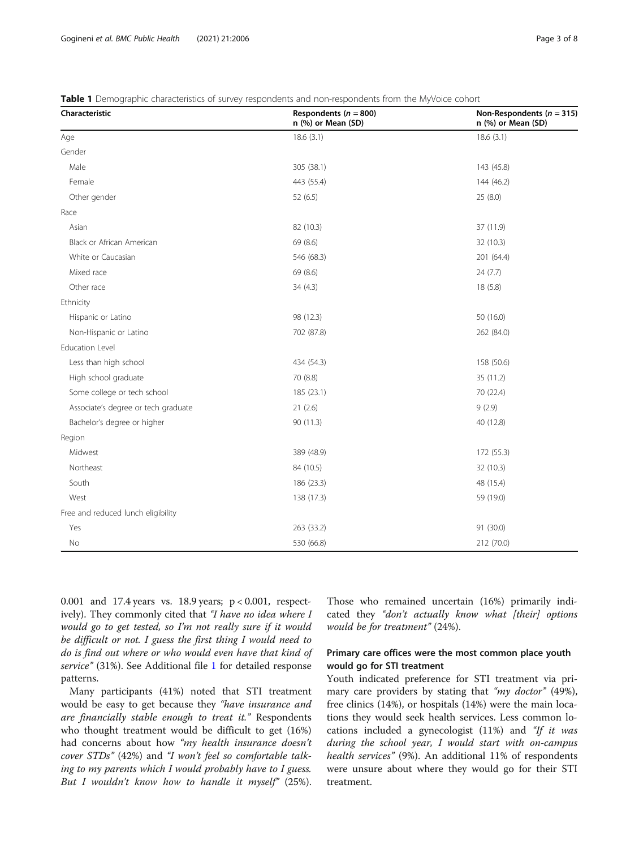| Characteristic                      | Respondents ( $n = 800$ )<br>n (%) or Mean (SD) | Non-Respondents ( $n = 315$ )<br>n (%) or Mean (SD) |
|-------------------------------------|-------------------------------------------------|-----------------------------------------------------|
| Age                                 | 18.6(3.1)                                       | 18.6(3.1)                                           |
| Gender                              |                                                 |                                                     |
| Male                                | 305 (38.1)                                      | 143 (45.8)                                          |
| Female                              | 443 (55.4)                                      | 144 (46.2)                                          |
| Other gender                        | 52(6.5)                                         | 25(8.0)                                             |
| Race                                |                                                 |                                                     |
| Asian                               | 82 (10.3)                                       | 37 (11.9)                                           |
| Black or African American           | 69 (8.6)                                        | 32 (10.3)                                           |
| White or Caucasian                  | 546 (68.3)                                      | 201 (64.4)                                          |
| Mixed race                          | 69 (8.6)                                        | 24(7.7)                                             |
| Other race                          | 34(4.3)                                         | 18(5.8)                                             |
| Ethnicity                           |                                                 |                                                     |
| Hispanic or Latino                  | 98 (12.3)                                       | 50 (16.0)                                           |
| Non-Hispanic or Latino              | 702 (87.8)                                      | 262 (84.0)                                          |
| <b>Education Level</b>              |                                                 |                                                     |
| Less than high school               | 434 (54.3)                                      | 158 (50.6)                                          |
| High school graduate                | 70 (8.8)                                        | 35 (11.2)                                           |
| Some college or tech school         | 185 (23.1)                                      | 70 (22.4)                                           |
| Associate's degree or tech graduate | 21(2.6)                                         | 9(2.9)                                              |
| Bachelor's degree or higher         | 90 (11.3)                                       | 40 (12.8)                                           |
| Region                              |                                                 |                                                     |
| Midwest                             | 389 (48.9)                                      | 172 (55.3)                                          |
| Northeast                           | 84 (10.5)                                       | 32 (10.3)                                           |
| South                               | 186 (23.3)                                      | 48 (15.4)                                           |
| West                                | 138 (17.3)                                      | 59 (19.0)                                           |
| Free and reduced lunch eligibility  |                                                 |                                                     |
| Yes                                 | 263 (33.2)                                      | 91 (30.0)                                           |
| No                                  | 530 (66.8)                                      | 212 (70.0)                                          |

<span id="page-2-0"></span>Table 1 Demographic characteristics of survey respondents and non-respondents from the MyVoice cohort

0.001 and 17.4 years vs. 18.9 years; p < 0.001, respectively). They commonly cited that "I have no idea where I would go to get tested, so I'm not really sure if it would be difficult or not. I guess the first thing I would need to do is find out where or who would even have that kind of service" (31%). See Additional file [1](#page-6-0) for detailed response patterns.

Many participants (41%) noted that STI treatment would be easy to get because they "have insurance and are financially stable enough to treat it." Respondents who thought treatment would be difficult to get (16%) had concerns about how "my health insurance doesn't cover STDs" (42%) and "I won't feel so comfortable talking to my parents which I would probably have to I guess. But I wouldn't know how to handle it myself" (25%). Those who remained uncertain (16%) primarily indicated they "don't actually know what [their] options would be for treatment" (24%).

## Primary care offices were the most common place youth would go for STI treatment

Youth indicated preference for STI treatment via primary care providers by stating that "*my doctor*" (49%), free clinics (14%), or hospitals (14%) were the main locations they would seek health services. Less common locations included a gynecologist  $(11%)$  and "If it was during the school year, I would start with on-campus health services" (9%). An additional 11% of respondents were unsure about where they would go for their STI treatment.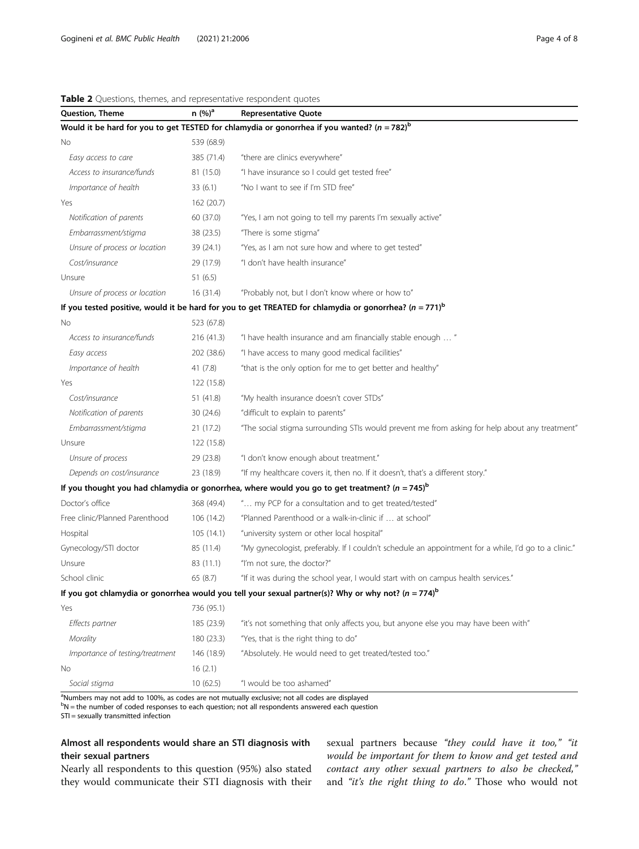| Question, Theme                 | n (%) <sup>a</sup> | <b>Representative Quote</b>                                                                                 |  |
|---------------------------------|--------------------|-------------------------------------------------------------------------------------------------------------|--|
|                                 |                    | Would it be hard for you to get TESTED for chlamydia or gonorrhea if you wanted? ( $n = 782$ ) <sup>b</sup> |  |
| No                              | 539 (68.9)         |                                                                                                             |  |
| Easy access to care             | 385 (71.4)         | "there are clinics everywhere"                                                                              |  |
| Access to insurance/funds       | 81 (15.0)          | "I have insurance so I could get tested free"                                                               |  |
| Importance of health            | 33(6.1)            | "No I want to see if I'm STD free"                                                                          |  |
| Yes                             | 162 (20.7)         |                                                                                                             |  |
| Notification of parents         | 60 (37.0)          | "Yes, I am not going to tell my parents I'm sexually active"                                                |  |
| Embarrassment/stigma            | 38 (23.5)          | "There is some stigma"                                                                                      |  |
| Unsure of process or location   | 39 (24.1)          | "Yes, as I am not sure how and where to get tested"                                                         |  |
| Cost/insurance                  | 29 (17.9)          | "I don't have health insurance"                                                                             |  |
| Unsure                          | 51(6.5)            |                                                                                                             |  |
| Unsure of process or location   | 16(31.4)           | "Probably not, but I don't know where or how to"                                                            |  |
|                                 |                    | If you tested positive, would it be hard for you to get TREATED for chlamydia or gonorrhea? $(n = 771)^{6}$ |  |
| No                              | 523 (67.8)         |                                                                                                             |  |
| Access to insurance/funds       | 216 (41.3)         | "I have health insurance and am financially stable enough  "                                                |  |
| Easy access                     | 202 (38.6)         | "I have access to many good medical facilities"                                                             |  |
| Importance of health            | 41(7.8)            | "that is the only option for me to get better and healthy"                                                  |  |
| Yes                             | 122 (15.8)         |                                                                                                             |  |
| Cost/insurance                  | 51(41.8)           | "My health insurance doesn't cover STDs"                                                                    |  |
| Notification of parents         | 30 (24.6)          | "difficult to explain to parents"                                                                           |  |
| Embarrassment/stigma            | 21 (17.2)          | "The social stigma surrounding STIs would prevent me from asking for help about any treatment"              |  |
| Unsure                          | 122 (15.8)         |                                                                                                             |  |
| Unsure of process               | 29 (23.8)          | "I don't know enough about treatment."                                                                      |  |
| Depends on cost/insurance       | 23 (18.9)          | "If my healthcare covers it, then no. If it doesn't, that's a different story."                             |  |
|                                 |                    | If you thought you had chlamydia or gonorrhea, where would you go to get treatment? $(n = 745)^{b}$         |  |
| Doctor's office                 | 368 (49.4)         | " my PCP for a consultation and to get treated/tested"                                                      |  |
| Free clinic/Planned Parenthood  | 106 (14.2)         | "Planned Parenthood or a walk-in-clinic if  at school"                                                      |  |
| Hospital                        | 105(14.1)          | "university system or other local hospital"                                                                 |  |
| Gynecology/STI doctor           | 85 (11.4)          | "My gynecologist, preferably. If I couldn't schedule an appointment for a while, I'd go to a clinic."       |  |
| Unsure                          | 83 (11.1)          | "I'm not sure, the doctor?"                                                                                 |  |
| School clinic                   | 65 (8.7)           | "If it was during the school year, I would start with on campus health services."                           |  |
|                                 |                    | If you got chlamydia or gonorrhea would you tell your sexual partner(s)? Why or why not? ( $n = 774$ )      |  |
| Yes                             | 736 (95.1)         |                                                                                                             |  |
| Effects partner                 | 185 (23.9)         | "it's not something that only affects you, but anyone else you may have been with"                          |  |
| Morality                        | 180 (23.3)         | "Yes, that is the right thing to do"                                                                        |  |
| Importance of testing/treatment | 146 (18.9)         | "Absolutely. He would need to get treated/tested too."                                                      |  |
| No                              | 16(2.1)            |                                                                                                             |  |
| Social stigma                   | 10(62.5)           | "I would be too ashamed"                                                                                    |  |

<span id="page-3-0"></span>Table 2 Questions, themes, and representative respondent quotes

<sup>a</sup>Numbers may not add to 100%, as codes are not mutually exclusive; not all codes are displayed

b<br>N = the number of coded responses to each question; not all respondents answered each question

STI = sexually transmitted infection

## Almost all respondents would share an STI diagnosis with their sexual partners

Nearly all respondents to this question (95%) also stated they would communicate their STI diagnosis with their

sexual partners because "they could have it too," "it would be important for them to know and get tested and contact any other sexual partners to also be checked," and "it's the right thing to do." Those who would not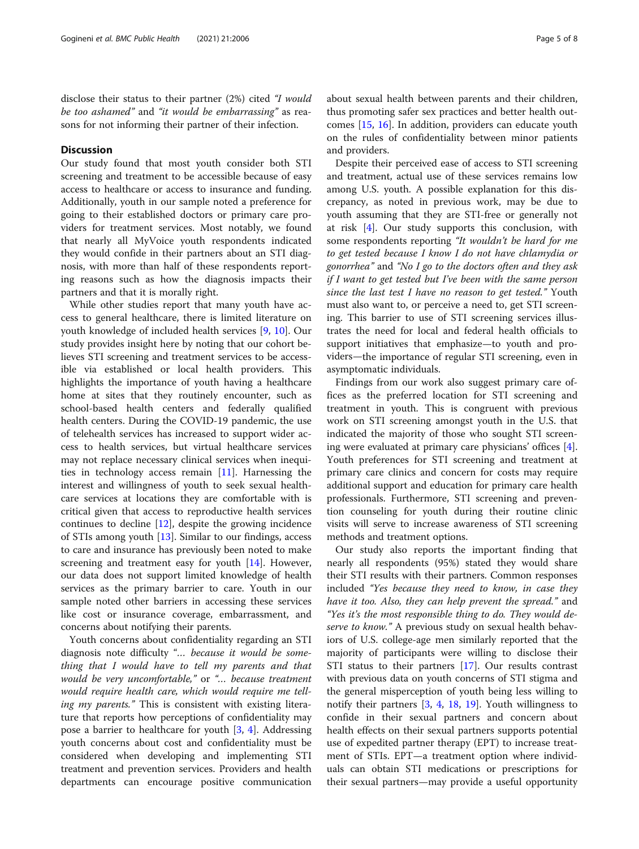disclose their status to their partner (2%) cited "I would be too ashamed" and "it would be embarrassing" as reasons for not informing their partner of their infection.

## **Discussion**

Our study found that most youth consider both STI screening and treatment to be accessible because of easy access to healthcare or access to insurance and funding. Additionally, youth in our sample noted a preference for going to their established doctors or primary care providers for treatment services. Most notably, we found that nearly all MyVoice youth respondents indicated they would confide in their partners about an STI diagnosis, with more than half of these respondents reporting reasons such as how the diagnosis impacts their partners and that it is morally right.

While other studies report that many youth have access to general healthcare, there is limited literature on youth knowledge of included health services [\[9](#page-6-0), [10](#page-6-0)]. Our study provides insight here by noting that our cohort believes STI screening and treatment services to be accessible via established or local health providers. This highlights the importance of youth having a healthcare home at sites that they routinely encounter, such as school-based health centers and federally qualified health centers. During the COVID-19 pandemic, the use of telehealth services has increased to support wider access to health services, but virtual healthcare services may not replace necessary clinical services when inequities in technology access remain [\[11](#page-6-0)]. Harnessing the interest and willingness of youth to seek sexual healthcare services at locations they are comfortable with is critical given that access to reproductive health services continues to decline [[12](#page-6-0)], despite the growing incidence of STIs among youth [\[13](#page-6-0)]. Similar to our findings, access to care and insurance has previously been noted to make screening and treatment easy for youth [\[14](#page-7-0)]. However, our data does not support limited knowledge of health services as the primary barrier to care. Youth in our sample noted other barriers in accessing these services like cost or insurance coverage, embarrassment, and concerns about notifying their parents.

Youth concerns about confidentiality regarding an STI diagnosis note difficulty "… because it would be something that I would have to tell my parents and that would be very uncomfortable," or "… because treatment would require health care, which would require me telling my parents." This is consistent with existing literature that reports how perceptions of confidentiality may pose a barrier to healthcare for youth [\[3](#page-6-0), [4\]](#page-6-0). Addressing youth concerns about cost and confidentiality must be considered when developing and implementing STI treatment and prevention services. Providers and health departments can encourage positive communication about sexual health between parents and their children, thus promoting safer sex practices and better health outcomes [\[15,](#page-7-0) [16](#page-7-0)]. In addition, providers can educate youth on the rules of confidentiality between minor patients

and providers.

Despite their perceived ease of access to STI screening and treatment, actual use of these services remains low among U.S. youth. A possible explanation for this discrepancy, as noted in previous work, may be due to youth assuming that they are STI-free or generally not at risk [[4\]](#page-6-0). Our study supports this conclusion, with some respondents reporting "It wouldn't be hard for me to get tested because I know I do not have chlamydia or gonorrhea" and "No I go to the doctors often and they ask if I want to get tested but I've been with the same person since the last test I have no reason to get tested." Youth must also want to, or perceive a need to, get STI screening. This barrier to use of STI screening services illustrates the need for local and federal health officials to support initiatives that emphasize—to youth and providers—the importance of regular STI screening, even in asymptomatic individuals.

Findings from our work also suggest primary care offices as the preferred location for STI screening and treatment in youth. This is congruent with previous work on STI screening amongst youth in the U.S. that indicated the majority of those who sought STI screening were evaluated at primary care physicians' offices [\[4](#page-6-0)]. Youth preferences for STI screening and treatment at primary care clinics and concern for costs may require additional support and education for primary care health professionals. Furthermore, STI screening and prevention counseling for youth during their routine clinic visits will serve to increase awareness of STI screening methods and treatment options.

Our study also reports the important finding that nearly all respondents (95%) stated they would share their STI results with their partners. Common responses included "Yes because they need to know, in case they have it too. Also, they can help prevent the spread." and "Yes it's the most responsible thing to do. They would deserve to know." A previous study on sexual health behaviors of U.S. college-age men similarly reported that the majority of participants were willing to disclose their STI status to their partners [\[17\]](#page-7-0). Our results contrast with previous data on youth concerns of STI stigma and the general misperception of youth being less willing to notify their partners [[3,](#page-6-0) [4,](#page-6-0) [18,](#page-7-0) [19\]](#page-7-0). Youth willingness to confide in their sexual partners and concern about health effects on their sexual partners supports potential use of expedited partner therapy (EPT) to increase treatment of STIs. EPT—a treatment option where individuals can obtain STI medications or prescriptions for their sexual partners—may provide a useful opportunity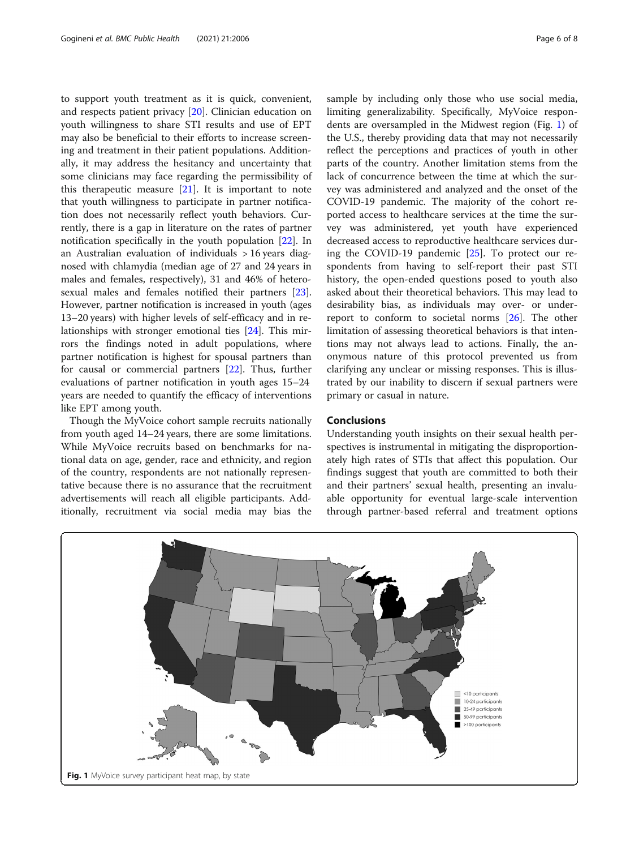to support youth treatment as it is quick, convenient, and respects patient privacy [\[20](#page-7-0)]. Clinician education on youth willingness to share STI results and use of EPT may also be beneficial to their efforts to increase screening and treatment in their patient populations. Additionally, it may address the hesitancy and uncertainty that some clinicians may face regarding the permissibility of this therapeutic measure [\[21\]](#page-7-0). It is important to note that youth willingness to participate in partner notification does not necessarily reflect youth behaviors. Currently, there is a gap in literature on the rates of partner notification specifically in the youth population [[22\]](#page-7-0). In an Australian evaluation of individuals > 16 years diagnosed with chlamydia (median age of 27 and 24 years in males and females, respectively), 31 and 46% of heterosexual males and females notified their partners [\[23](#page-7-0)]. However, partner notification is increased in youth (ages 13–20 years) with higher levels of self-efficacy and in relationships with stronger emotional ties [[24\]](#page-7-0). This mirrors the findings noted in adult populations, where partner notification is highest for spousal partners than for causal or commercial partners [\[22](#page-7-0)]. Thus, further evaluations of partner notification in youth ages 15–24 years are needed to quantify the efficacy of interventions like EPT among youth.

Though the MyVoice cohort sample recruits nationally from youth aged 14–24 years, there are some limitations. While MyVoice recruits based on benchmarks for national data on age, gender, race and ethnicity, and region of the country, respondents are not nationally representative because there is no assurance that the recruitment advertisements will reach all eligible participants. Additionally, recruitment via social media may bias the sample by including only those who use social media, limiting generalizability. Specifically, MyVoice respondents are oversampled in the Midwest region (Fig. 1) of the U.S., thereby providing data that may not necessarily reflect the perceptions and practices of youth in other parts of the country. Another limitation stems from the lack of concurrence between the time at which the survey was administered and analyzed and the onset of the COVID-19 pandemic. The majority of the cohort reported access to healthcare services at the time the survey was administered, yet youth have experienced decreased access to reproductive healthcare services during the COVID-19 pandemic [\[25](#page-7-0)]. To protect our respondents from having to self-report their past STI history, the open-ended questions posed to youth also asked about their theoretical behaviors. This may lead to desirability bias, as individuals may over- or underreport to conform to societal norms [\[26](#page-7-0)]. The other limitation of assessing theoretical behaviors is that intentions may not always lead to actions. Finally, the anonymous nature of this protocol prevented us from clarifying any unclear or missing responses. This is illustrated by our inability to discern if sexual partners were primary or casual in nature.

## Conclusions

Understanding youth insights on their sexual health perspectives is instrumental in mitigating the disproportionately high rates of STIs that affect this population. Our findings suggest that youth are committed to both their and their partners' sexual health, presenting an invaluable opportunity for eventual large-scale intervention through partner-based referral and treatment options

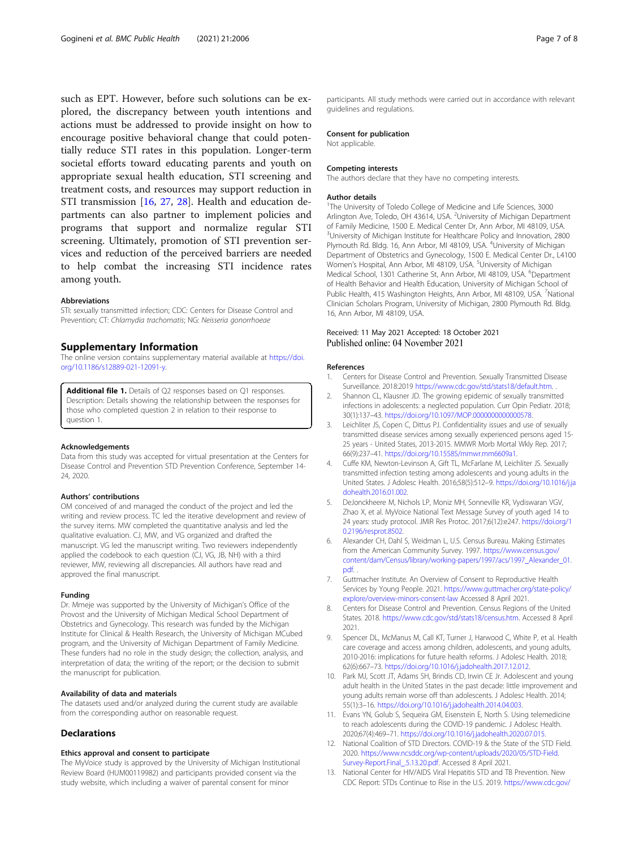<span id="page-6-0"></span>such as EPT. However, before such solutions can be explored, the discrepancy between youth intentions and actions must be addressed to provide insight on how to encourage positive behavioral change that could potentially reduce STI rates in this population. Longer-term societal efforts toward educating parents and youth on appropriate sexual health education, STI screening and treatment costs, and resources may support reduction in STI transmission [[16,](#page-7-0) [27](#page-7-0), [28\]](#page-7-0). Health and education departments can also partner to implement policies and programs that support and normalize regular STI screening. Ultimately, promotion of STI prevention services and reduction of the perceived barriers are needed to help combat the increasing STI incidence rates among youth.

#### Abbreviations

STI: sexually transmitted infection; CDC: Centers for Disease Control and Prevention; CT: Chlamydia trachomatis; NG: Neisseria gonorrhoeae

#### Supplementary Information

The online version contains supplementary material available at [https://doi.](https://doi.org/10.1186/s12889-021-12091-y) [org/10.1186/s12889-021-12091-y](https://doi.org/10.1186/s12889-021-12091-y).

Additional file 1. Details of Q2 responses based on Q1 responses. Description: Details showing the relationship between the responses for those who completed question 2 in relation to their response to question 1.

#### Acknowledgements

Data from this study was accepted for virtual presentation at the Centers for Disease Control and Prevention STD Prevention Conference, September 14- 24, 2020.

#### Authors' contributions

OM conceived of and managed the conduct of the project and led the writing and review process. TC led the iterative development and review of the survey items. MW completed the quantitative analysis and led the qualitative evaluation. CJ, MW, and VG organized and drafted the manuscript. VG led the manuscript writing. Two reviewers independently applied the codebook to each question (CJ, VG, JB, NH) with a third reviewer, MW, reviewing all discrepancies. All authors have read and approved the final manuscript.

#### Funding

Dr. Mmeje was supported by the University of Michigan's Office of the Provost and the University of Michigan Medical School Department of Obstetrics and Gynecology. This research was funded by the Michigan Institute for Clinical & Health Research, the University of Michigan MCubed program, and the University of Michigan Department of Family Medicine. These funders had no role in the study design; the collection, analysis, and interpretation of data; the writing of the report; or the decision to submit the manuscript for publication.

#### Availability of data and materials

The datasets used and/or analyzed during the current study are available from the corresponding author on reasonable request.

#### Declarations

#### Ethics approval and consent to participate

The MyVoice study is approved by the University of Michigan Institutional Review Board (HUM00119982) and participants provided consent via the study website, which including a waiver of parental consent for minor

participants. All study methods were carried out in accordance with relevant guidelines and regulations.

## Consent for publication

Not applicable.

#### Competing interests

The authors declare that they have no competing interests.

#### Author details

<sup>1</sup>The University of Toledo College of Medicine and Life Sciences, 3000 Arlington Ave, Toledo, OH 43614, USA. <sup>2</sup>University of Michigan Department of Family Medicine, 1500 E. Medical Center Dr, Ann Arbor, MI 48109, USA. <sup>3</sup>University of Michigan Institute for Healthcare Policy and Innovation, 2800 Plymouth Rd. Bldg. 16, Ann Arbor, MI 48109, USA. <sup>4</sup>University of Michigan Department of Obstetrics and Gynecology, 1500 E. Medical Center Dr., L4100 Women's Hospital, Ann Arbor, MI 48109, USA. <sup>5</sup>University of Michigan Medical School, 1301 Catherine St, Ann Arbor, MI 48109, USA. <sup>6</sup>Department of Health Behavior and Health Education, University of Michigan School of Public Health, 415 Washington Heights, Ann Arbor, MI 48109, USA. <sup>7</sup>National Clinician Scholars Program, University of Michigan, 2800 Plymouth Rd. Bldg. 16, Ann Arbor, MI 48109, USA.

#### Received: 11 May 2021 Accepted: 18 October 2021 Published online: 04 November 2021

#### References

- 1. Centers for Disease Control and Prevention. Sexually Transmitted Disease Surveillance. 2018:2019 [https://www.cdc.gov/std/stats18/default.htm.](https://www.cdc.gov/std/stats18/default.htm) .
- 2. Shannon CL, Klausner JD. The growing epidemic of sexually transmitted infections in adolescents: a neglected population. Curr Opin Pediatr. 2018; 30(1):137–43. [https://doi.org/10.1097/MOP.0000000000000578.](https://doi.org/10.1097/MOP.0000000000000578)
- 3. Leichliter JS, Copen C, Dittus PJ. Confidentiality issues and use of sexually transmitted disease services among sexually experienced persons aged 15- 25 years - United States, 2013-2015. MMWR Morb Mortal Wkly Rep. 2017; 66(9):237–41. <https://doi.org/10.15585/mmwr.mm6609a1>.
- 4. Cuffe KM, Newton-Levinson A, Gift TL, McFarlane M, Leichliter JS. Sexually transmitted infection testing among adolescents and young adults in the United States. J Adolesc Health. 2016;58(5):512–9. [https://doi.org/10.1016/j.ja](https://doi.org/10.1016/j.jadohealth.2016.01.002) [dohealth.2016.01.002](https://doi.org/10.1016/j.jadohealth.2016.01.002).
- 5. DeJonckheere M, Nichols LP, Moniz MH, Sonneville KR, Vydiswaran VGV, Zhao X, et al. MyVoice National Text Message Survey of youth aged 14 to 24 years: study protocol. JMIR Res Protoc. 2017;6(12):e247. [https://doi.org/1](https://doi.org/10.2196/resprot.8502) [0.2196/resprot.8502](https://doi.org/10.2196/resprot.8502).
- 6. Alexander CH, Dahl S, Weidman L, U.S. Census Bureau. Making Estimates from the American Community Survey. 1997. [https://www.census.gov/](https://www.census.gov/content/dam/Census/library/working-papers/1997/acs/1997_Alexander_01.pdf) [content/dam/Census/library/working-papers/1997/acs/1997\\_Alexander\\_01.](https://www.census.gov/content/dam/Census/library/working-papers/1997/acs/1997_Alexander_01.pdf) [pdf](https://www.census.gov/content/dam/Census/library/working-papers/1997/acs/1997_Alexander_01.pdf). .
- 7. Guttmacher Institute. An Overview of Consent to Reproductive Health Services by Young People. 2021. [https://www.guttmacher.org/state-policy/](https://www.guttmacher.org/state-policy/explore/overview-minors-consent-law) [explore/overview-minors-consent-law](https://www.guttmacher.org/state-policy/explore/overview-minors-consent-law) Accessed 8 April 2021.
- 8. Centers for Disease Control and Prevention. Census Regions of the United States. 2018. [https://www.cdc.gov/std/stats18/census.htm.](https://www.cdc.gov/std/stats18/census.htm) Accessed 8 April 2021.
- Spencer DL, McManus M, Call KT, Turner J, Harwood C, White P, et al. Health care coverage and access among children, adolescents, and young adults, 2010-2016: implications for future health reforms. J Adolesc Health. 2018; 62(6):667–73. <https://doi.org/10.1016/j.jadohealth.2017.12.012>.
- 10. Park MJ, Scott JT, Adams SH, Brindis CD, Irwin CE Jr. Adolescent and young adult health in the United States in the past decade: little improvement and young adults remain worse off than adolescents. J Adolesc Health. 2014; 55(1):3–16. <https://doi.org/10.1016/j.jadohealth.2014.04.003>.
- 11. Evans YN, Golub S, Sequeira GM, Eisenstein E, North S. Using telemedicine to reach adolescents during the COVID-19 pandemic. J Adolesc Health. 2020;67(4):469–71. [https://doi.org/10.1016/j.jadohealth.2020.07.015.](https://doi.org/10.1016/j.jadohealth.2020.07.015)
- 12. National Coalition of STD Directors. COVID-19 & the State of the STD Field. 2020. [https://www.ncsddc.org/wp-content/uploads/2020/05/STD-Field.](https://www.ncsddc.org/wp-content/uploads/2020/05/STD-Field.Survey-Report.Final_.5.13.20.pdf) [Survey-Report.Final\\_.5.13.20.pdf.](https://www.ncsddc.org/wp-content/uploads/2020/05/STD-Field.Survey-Report.Final_.5.13.20.pdf) Accessed 8 April 2021.
- 13. National Center for HIV/AIDS Viral Hepatitis STD and TB Prevention. New CDC Report: STDs Continue to Rise in the U.S. 2019. [https://www.cdc.gov/](https://www.cdc.gov/nchhstp/newsroom/2019/2018-STD-surveillance-report-press-release.html)